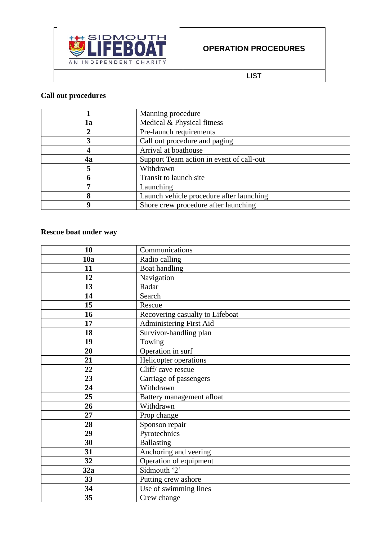

LIST

## **Call out procedures**

|    | Manning procedure                        |
|----|------------------------------------------|
| 1a | Medical & Physical fitness               |
|    | Pre-launch requirements                  |
|    | Call out procedure and paging            |
|    | Arrival at boathouse                     |
| 4a | Support Team action in event of call-out |
|    | Withdrawn                                |
|    | Transit to launch site                   |
|    | Launching                                |
|    | Launch vehicle procedure after launching |
|    | Shore crew procedure after launching     |

## **Rescue boat under way**

| 10              | Communications                  |
|-----------------|---------------------------------|
| 10a             | Radio calling                   |
| 11              | Boat handling                   |
| 12              | Navigation                      |
| 13              | Radar                           |
| 14              | Search                          |
| 15              | Rescue                          |
| 16              | Recovering casualty to Lifeboat |
| 17              | Administering First Aid         |
| 18              | Survivor-handling plan          |
| 19              | Towing                          |
| 20              | Operation in surf               |
| 21              | Helicopter operations           |
| 22              | Cliff/cave rescue               |
| 23              | Carriage of passengers          |
| 24              | Withdrawn                       |
| $\overline{25}$ | Battery management afloat       |
| 26              | Withdrawn                       |
| 27              | Prop change                     |
| 28              | Sponson repair                  |
| 29              | Pyrotechnics                    |
| 30              | <b>Ballasting</b>               |
| 31              | Anchoring and veering           |
| 32              | Operation of equipment          |
| 32a             | Sidmouth '2'                    |
| 33              | Putting crew ashore             |
| 34              | Use of swimming lines           |
| 35              | Crew change                     |